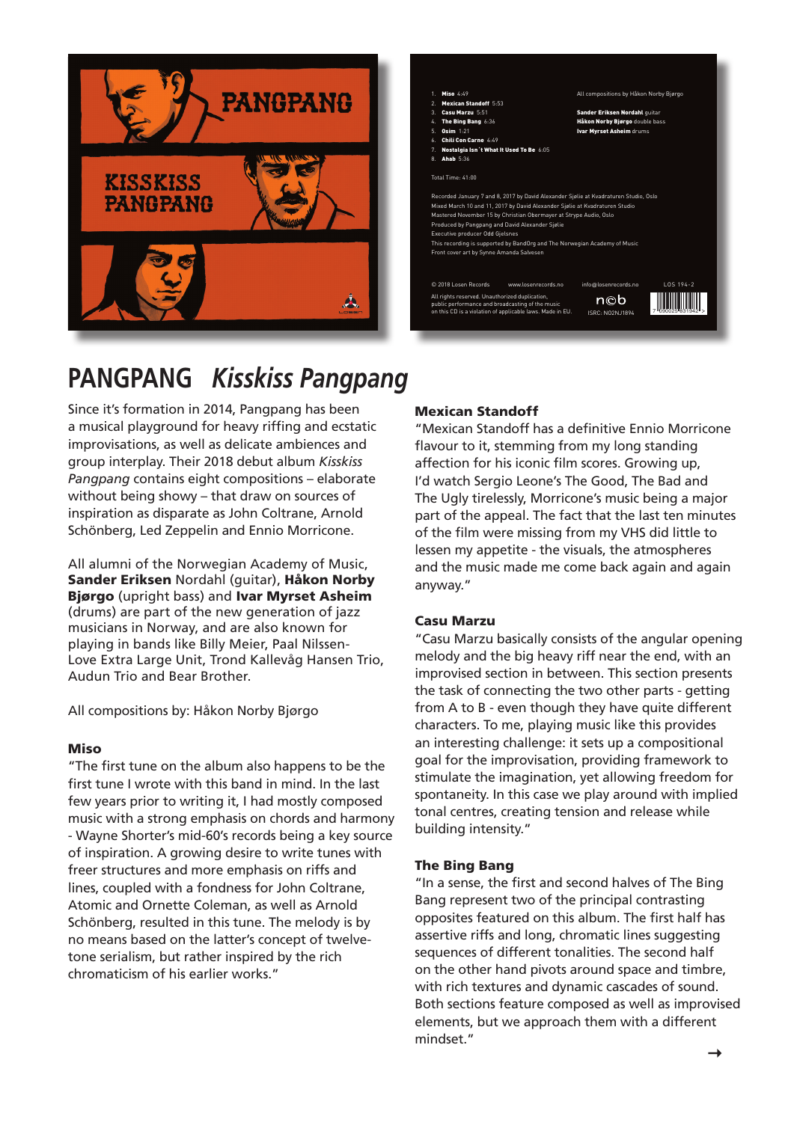



# **PANGPANG Kisskiss Pangpang** contrasting principal the of two represent Bang Bing The of halves second and first the sense, <sup>a</sup> In

Schönberg, Led Zeppelin and Ennio Morricone. works. Earlier his of chromaticism rich the by inspired the by inspired the by inspired the by inspired the by inspiration as disparate as John Coltrane, Arnold without being showy - that draw on sources of Pangpang contains eight compositions - elaborate group interplay. Their 2018 debut album *Kisskiss* improvisations, as well as delicate ambiences and a musical playground for heavy riffing and ecstatic intensity. building while release and tension creating centres, tonal implied with around play we Since it's formation in 2014, Pangpang has been

Miso Sander Eriksen Nordahl (guitar), Håkon Norby All alumni of the Norwegian Academy of Music, Bjørgo (upright bass) and Ivar Myrset Asheim (drums) are part of the new generation of jazz musicians in Norway, and are also known for playing in bands like Billy Meier, Paal Nilssen-Love Extra Large Unit, Trond Kallevåg Hansen Trio, Audun Trio and Bear Brother.

All compositions by: Håkon Norby Bjørgo

## Miso

"The first tune on the album also happens to be the first tune I wrote with this band in mind. In the last few years prior to writing it, I had mostly composed music with a strong emphasis on chords and harmony - Wayne Shorter's mid-60's records being a key source of inspiration. A growing desire to write tunes with freer structures and more emphasis on riffs and lines, coupled with a fondness for John Coltrane, Atomic and Ornette Coleman, as well as Arnold Schönberg, resulted in this tune. The melody is by no means based on the latter's concept of twelvetone serialism, but rather inspired by the rich chromaticism of his earlier works."

## Mexican Standoff **inspiration delivers** album the on tune final The on tune final The on tune final The on tune fi

and the music made me come back again and again lessen my appetite - the visuals, the atmospheres of the film were missing from my VHS did little to part of the appeal. The fact that the last ten minutes The Ugly tirelessly, Morricone's music being a major I'd watch Sergio Leone's The Good, The Bad and tonality». «free and rhythm» «free rather but tonality» «no and rhythm» «no really not band: affection for his iconic film scores. Growing up, flavour to it, stemming from my long standing "Mexican Standoff has a definitive Ennio Morricone anyway."

## Casu Marzu

"Casu Marzu basically consists of the angular opening melody and the big heavy riff near the end, with an improvised section in between. This section presents the task of connecting the two other parts - getting from A to B - even though they have quite different characters. To me, playing music like this provides an interesting challenge: it sets up a compositional goal for the improvisation, providing framework to stimulate the imagination, yet allowing freedom for spontaneity. In this case we play around with implied tonal centres, creating tension and release while building intensity."

## The Bing Bang

"In a sense, the first and second halves of The Bing Bang represent two of the principal contrasting opposites featured on this album. The first half has assertive riffs and long, chromatic lines suggesting sequences of different tonalities. The second half on the other hand pivots around space and timbre, with rich textures and dynamic cascades of sound. Both sections feature composed as well as improvised elements, but we approach them with a different mindset."